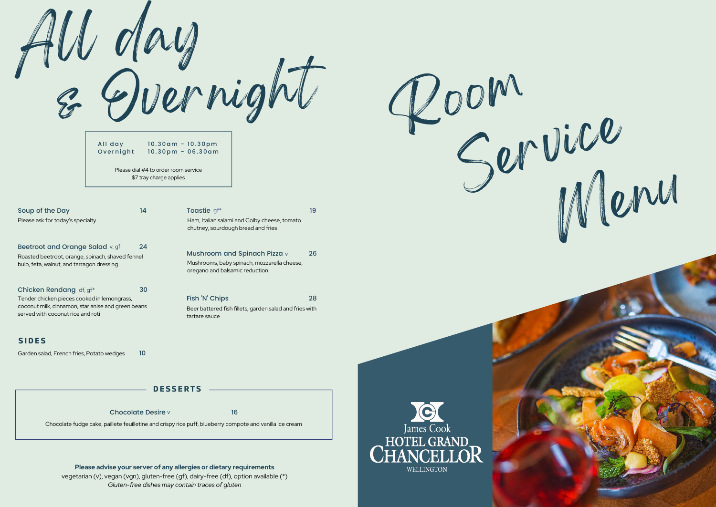& Overnight Room All day

All day **Overnight** 10.30am - 10.30pm  $10.30$ pm - 06.30am

Please dial #4 to order room service \$7 tray charge applies

14

Toastie gf\*

Fish 'N' Chips

tartare sauce

Ham, Italian salami and Colby cheese, tomato

19

26

28

chutney, sourdough bread and fries

oregano and balsamic reduction

Mushroom and Spinach Pizza  $\vee$ Mushrooms, baby spinach, mozzarella cheese,

Beer battered fish fillets, garden salad and fries with

| Soup of the Day                  |  |
|----------------------------------|--|
| Please ask for today's specialty |  |

Beetroot and Orange Salad v, gf Roasted beetroot, orange, spinach, shaved fennel bulb, feta, walnut, and tarragon dressing 24

Chicken Rendang df, gf\* 30 Tender chicken pieces cooked in lemongrass, coconut milk, cinnamon, star anise and green beans served with coconut rice and roti

### **S IDE S**

10 Garden salad, French fries, Potato wedges

**DE S S ERT S**

Chocolate Desire v 16

Chocolate fudge cake, paillete feuilletine and crispy rice puff, blueberry compote and vanilla ice cream

#### **Please advise your server of any allergies or dietary requirements**

vegetarian (v), vegan (vgn), gluten-free (gf), dairy-free (df), option available (\*) *Gluten-free dishes may contain traces of gluten*





**WELLINGTON**